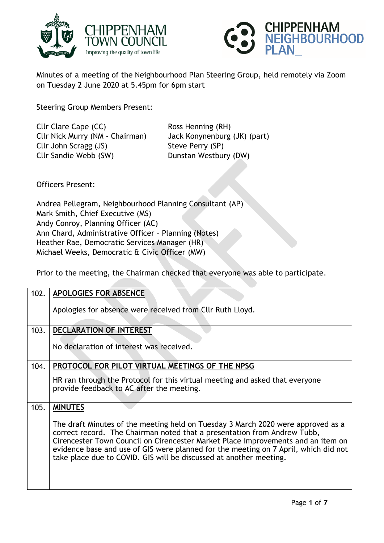



Minutes of a meeting of the Neighbourhood Plan Steering Group, held remotely via Zoom on Tuesday 2 June 2020 at 5.45pm for 6pm start

Steering Group Members Present:

Cllr Clare Cape (CC) Ross Henning (RH) Cllr Nick Murry (NM - Chairman) Jack Konynenburg (JK) (part) Cllr John Scragg (JS) Steve Perry (SP) Cllr Sandie Webb (SW) Dunstan Westbury (DW)

Officers Present:

Andrea Pellegram, Neighbourhood Planning Consultant (AP) Mark Smith, Chief Executive (MS) Andy Conroy, Planning Officer (AC) Ann Chard, Administrative Officer – Planning (Notes) Heather Rae, Democratic Services Manager (HR) Michael Weeks, Democratic & Civic Officer (MW)

Prior to the meeting, the Chairman checked that everyone was able to participate.

| 102. | <b>APOLOGIES FOR ABSENCE</b>                                                                                                                                                                                                                                                                                                                                                                                  |
|------|---------------------------------------------------------------------------------------------------------------------------------------------------------------------------------------------------------------------------------------------------------------------------------------------------------------------------------------------------------------------------------------------------------------|
|      | Apologies for absence were received from Cllr Ruth Lloyd.                                                                                                                                                                                                                                                                                                                                                     |
| 103. | <b>DECLARATION OF INTEREST</b>                                                                                                                                                                                                                                                                                                                                                                                |
|      | No declaration of interest was received.                                                                                                                                                                                                                                                                                                                                                                      |
| 104. | PROTOCOL FOR PILOT VIRTUAL MEETINGS OF THE NPSG                                                                                                                                                                                                                                                                                                                                                               |
|      | HR ran through the Protocol for this virtual meeting and asked that everyone<br>provide feedback to AC after the meeting.                                                                                                                                                                                                                                                                                     |
| 105. | <b>MINUTES</b>                                                                                                                                                                                                                                                                                                                                                                                                |
|      | The draft Minutes of the meeting held on Tuesday 3 March 2020 were approved as a<br>correct record. The Chairman noted that a presentation from Andrew Tubb,<br>Cirencester Town Council on Cirencester Market Place improvements and an item on<br>evidence base and use of GIS were planned for the meeting on 7 April, which did not<br>take place due to COVID. GIS will be discussed at another meeting. |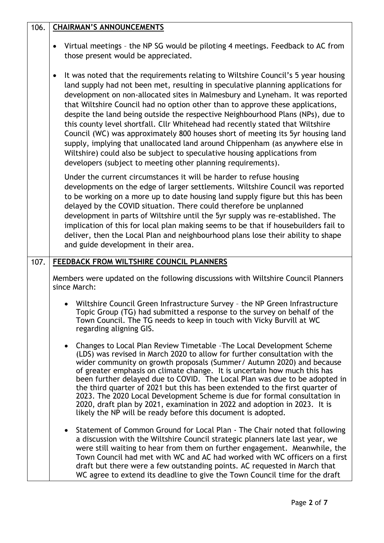| 106. | <b>CHAIRMAN'S ANNOUNCEMENTS</b>                                                                                                                                                                                                                                                                                                                                                                                                                                                                                                                                                                                                                                                                                                                                                                                                             |
|------|---------------------------------------------------------------------------------------------------------------------------------------------------------------------------------------------------------------------------------------------------------------------------------------------------------------------------------------------------------------------------------------------------------------------------------------------------------------------------------------------------------------------------------------------------------------------------------------------------------------------------------------------------------------------------------------------------------------------------------------------------------------------------------------------------------------------------------------------|
|      | Virtual meetings - the NP SG would be piloting 4 meetings. Feedback to AC from<br>$\bullet$<br>those present would be appreciated.                                                                                                                                                                                                                                                                                                                                                                                                                                                                                                                                                                                                                                                                                                          |
|      | It was noted that the requirements relating to Wiltshire Council's 5 year housing<br>$\bullet$<br>land supply had not been met, resulting in speculative planning applications for<br>development on non-allocated sites in Malmesbury and Lyneham. It was reported<br>that Wiltshire Council had no option other than to approve these applications,<br>despite the land being outside the respective Neighbourhood Plans (NPs), due to<br>this county level shortfall. Cllr Whitehead had recently stated that Wiltshire<br>Council (WC) was approximately 800 houses short of meeting its 5yr housing land<br>supply, implying that unallocated land around Chippenham (as anywhere else in<br>Wiltshire) could also be subject to speculative housing applications from<br>developers (subject to meeting other planning requirements). |
|      | Under the current circumstances it will be harder to refuse housing<br>developments on the edge of larger settlements. Wiltshire Council was reported<br>to be working on a more up to date housing land supply figure but this has been<br>delayed by the COVID situation. There could therefore be unplanned<br>development in parts of Wiltshire until the 5yr supply was re-established. The<br>implication of this for local plan making seems to be that if housebuilders fail to<br>deliver, then the Local Plan and neighbourhood plans lose their ability to shape<br>and guide development in their area.                                                                                                                                                                                                                         |
| 107. | FEEDBACK FROM WILTSHIRE COUNCIL PLANNERS                                                                                                                                                                                                                                                                                                                                                                                                                                                                                                                                                                                                                                                                                                                                                                                                    |
|      | Members were updated on the following discussions with Wiltshire Council Planners<br>since March:                                                                                                                                                                                                                                                                                                                                                                                                                                                                                                                                                                                                                                                                                                                                           |
|      | Wiltshire Council Green Infrastructure Survey - the NP Green Infrastructure<br>Topic Group (TG) had submitted a response to the survey on behalf of the<br>Town Council. The TG needs to keep in touch with Vicky Burvill at WC<br>regarding aligning GIS.                                                                                                                                                                                                                                                                                                                                                                                                                                                                                                                                                                                  |
|      | Changes to Local Plan Review Timetable - The Local Development Scheme<br>(LDS) was revised in March 2020 to allow for further consultation with the<br>wider community on growth proposals (Summer/ Autumn 2020) and because<br>of greater emphasis on climate change. It is uncertain how much this has<br>been further delayed due to COVID. The Local Plan was due to be adopted in<br>the third quarter of 2021 but this has been extended to the first quarter of<br>2023. The 2020 Local Development Scheme is due for formal consultation in<br>2020, draft plan by 2021, examination in 2022 and adoption in 2023. It is<br>likely the NP will be ready before this document is adopted.                                                                                                                                            |
|      | Statement of Common Ground for Local Plan - The Chair noted that following<br>a discussion with the Wiltshire Council strategic planners late last year, we<br>were still waiting to hear from them on further engagement. Meanwhile, the<br>Town Council had met with WC and AC had worked with WC officers on a first<br>draft but there were a few outstanding points. AC requested in March that<br>WC agree to extend its deadline to give the Town Council time for the draft                                                                                                                                                                                                                                                                                                                                                         |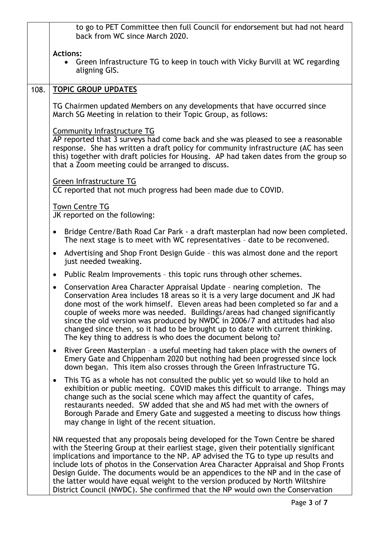|      | to go to PET Committee then full Council for endorsement but had not heard<br>back from WC since March 2020.                                                                                                                                                                                                                                                                                                                                                                                                                                                                                         |
|------|------------------------------------------------------------------------------------------------------------------------------------------------------------------------------------------------------------------------------------------------------------------------------------------------------------------------------------------------------------------------------------------------------------------------------------------------------------------------------------------------------------------------------------------------------------------------------------------------------|
|      | <b>Actions:</b><br>Green Infrastructure TG to keep in touch with Vicky Burvill at WC regarding<br>$\bullet$<br>aligning GIS.                                                                                                                                                                                                                                                                                                                                                                                                                                                                         |
| 108. | <b>TOPIC GROUP UPDATES</b>                                                                                                                                                                                                                                                                                                                                                                                                                                                                                                                                                                           |
|      | TG Chairmen updated Members on any developments that have occurred since<br>March SG Meeting in relation to their Topic Group, as follows:                                                                                                                                                                                                                                                                                                                                                                                                                                                           |
|      | Community Infrastructure TG<br>AP reported that 3 surveys had come back and she was pleased to see a reasonable<br>response. She has written a draft policy for community infrastructure (AC has seen<br>this) together with draft policies for Housing. AP had taken dates from the group so<br>that a Zoom meeting could be arranged to discuss.                                                                                                                                                                                                                                                   |
|      | Green Infrastructure TG                                                                                                                                                                                                                                                                                                                                                                                                                                                                                                                                                                              |
|      | CC reported that not much progress had been made due to COVID.                                                                                                                                                                                                                                                                                                                                                                                                                                                                                                                                       |
|      | <b>Town Centre TG</b><br>JK reported on the following:                                                                                                                                                                                                                                                                                                                                                                                                                                                                                                                                               |
|      | Bridge Centre/Bath Road Car Park - a draft masterplan had now been completed.<br>The next stage is to meet with WC representatives - date to be reconvened.                                                                                                                                                                                                                                                                                                                                                                                                                                          |
|      | Advertising and Shop Front Design Guide - this was almost done and the report<br>$\bullet$<br>just needed tweaking.                                                                                                                                                                                                                                                                                                                                                                                                                                                                                  |
|      | Public Realm Improvements - this topic runs through other schemes.<br>$\bullet$                                                                                                                                                                                                                                                                                                                                                                                                                                                                                                                      |
|      | Conservation Area Character Appraisal Update - nearing completion. The<br>$\bullet$<br>Conservation Area includes 18 areas so it is a very large document and JK had<br>done most of the work himself. Eleven areas had been completed so far and a<br>couple of weeks more was needed. Buildings/areas had changed significantly<br>since the old version was produced by NWDC in 2006/7 and attitudes had also<br>changed since then, so it had to be brought up to date with current thinking.<br>The key thing to address is who does the document belong to?                                    |
|      | River Green Masterplan - a useful meeting had taken place with the owners of<br>Emery Gate and Chippenham 2020 but nothing had been progressed since lock<br>down began. This item also crosses through the Green Infrastructure TG.                                                                                                                                                                                                                                                                                                                                                                 |
|      | This TG as a whole has not consulted the public yet so would like to hold an<br>exhibition or public meeting. COVID makes this difficult to arrange. Things may<br>change such as the social scene which may affect the quantity of cafes,<br>restaurants needed. SW added that she and MS had met with the owners of<br>Borough Parade and Emery Gate and suggested a meeting to discuss how things<br>may change in light of the recent situation.                                                                                                                                                 |
|      | NM requested that any proposals being developed for the Town Centre be shared<br>with the Steering Group at their earliest stage, given their potentially significant<br>implications and importance to the NP. AP advised the TG to type up results and<br>include lots of photos in the Conservation Area Character Appraisal and Shop Fronts<br>Design Guide. The documents would be an appendices to the NP and in the case of<br>the latter would have equal weight to the version produced by North Wiltshire<br>District Council (NWDC). She confirmed that the NP would own the Conservation |
|      | Page 3 of 7                                                                                                                                                                                                                                                                                                                                                                                                                                                                                                                                                                                          |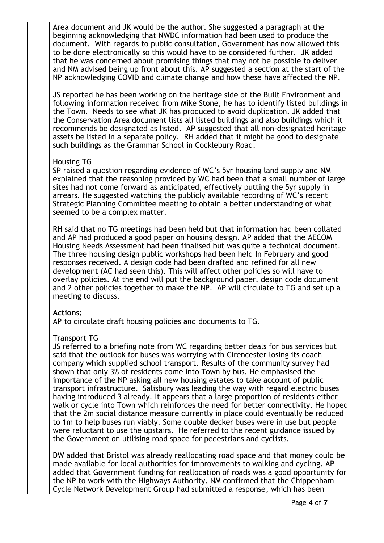Area document and JK would be the author. She suggested a paragraph at the beginning acknowledging that NWDC information had been used to produce the document. With regards to public consultation, Government has now allowed this to be done electronically so this would have to be considered further. JK added that he was concerned about promising things that may not be possible to deliver and NM advised being up front about this. AP suggested a section at the start of the NP acknowledging COVID and climate change and how these have affected the NP.

JS reported he has been working on the heritage side of the Built Environment and following information received from Mike Stone, he has to identify listed buildings in the Town. Needs to see what JK has produced to avoid duplication. JK added that the Conservation Area document lists all listed buildings and also buildings which it recommends be designated as listed. AP suggested that all non-designated heritage assets be listed in a separate policy. RH added that it might be good to designate such buildings as the Grammar School in Cocklebury Road.

### Housing TG

SP raised a question regarding evidence of WC's 5yr housing land supply and NM explained that the reasoning provided by WC had been that a small number of large sites had not come forward as anticipated, effectively putting the 5yr supply in arrears. He suggested watching the publicly available recording of WC's recent Strategic Planning Committee meeting to obtain a better understanding of what seemed to be a complex matter.

RH said that no TG meetings had been held but that information had been collated and AP had produced a good paper on housing design. AP added that the AECOM Housing Needs Assessment had been finalised but was quite a technical document. The three housing design public workshops had been held In February and good responses received. A design code had been drafted and refined for all new development (AC had seen this). This will affect other policies so will have to overlay policies. At the end will put the background paper, design code document and 2 other policies together to make the NP. AP will circulate to TG and set up a meeting to discuss.

# **Actions:**

AP to circulate draft housing policies and documents to TG.

# Transport TG

JS referred to a briefing note from WC regarding better deals for bus services but said that the outlook for buses was worrying with Cirencester losing its coach company which supplied school transport. Results of the community survey had shown that only 3% of residents come into Town by bus. He emphasised the importance of the NP asking all new housing estates to take account of public transport infrastructure. Salisbury was leading the way with regard electric buses having introduced 3 already. It appears that a large proportion of residents either walk or cycle into Town which reinforces the need for better connectivity. He hoped that the 2m social distance measure currently in place could eventually be reduced to 1m to help buses run viably. Some double decker buses were in use but people were reluctant to use the upstairs. He referred to the recent guidance issued by the Government on utilising road space for pedestrians and cyclists.

DW added that Bristol was already reallocating road space and that money could be made available for local authorities for improvements to walking and cycling. AP added that Government funding for reallocation of roads was a good opportunity for the NP to work with the Highways Authority. NM confirmed that the Chippenham Cycle Network Development Group had submitted a response, which has been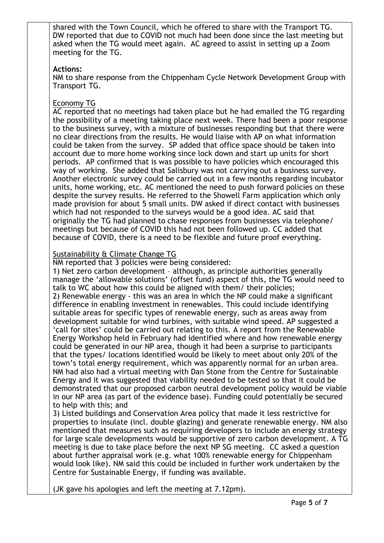shared with the Town Council, which he offered to share with the Transport TG. DW reported that due to COVID not much had been done since the last meeting but asked when the TG would meet again. AC agreed to assist in setting up a Zoom meeting for the TG.

### **Actions:**

NM to share response from the Chippenham Cycle Network Development Group with Transport TG.

## Economy TG

AC reported that no meetings had taken place but he had emailed the TG regarding the possibility of a meeting taking place next week. There had been a poor response to the business survey, with a mixture of businesses responding but that there were no clear directions from the results. He would liaise with AP on what information could be taken from the survey. SP added that office space should be taken into account due to more home working since lock down and start up units for short periods. AP confirmed that is was possible to have policies which encouraged this way of working. She added that Salisbury was not carrying out a business survey. Another electronic survey could be carried out in a few months regarding incubator units, home working, etc. AC mentioned the need to push forward policies on these despite the survey results. He referred to the Showell Farm application which only made provision for about 5 small units. DW asked if direct contact with businesses which had not responded to the surveys would be a good idea. AC said that originally the TG had planned to chase responses from businesses via telephone/ meetings but because of COVID this had not been followed up. CC added that because of COVID, there is a need to be flexible and future proof everything.

### Sustainability & Climate Change TG

NM reported that 3 policies were being considered:

1) Net zero carbon development – although, as principle authorities generally manage the 'allowable solutions' (offset fund) aspect of this, the TG would need to talk to WC about how this could be aligned with them/ their policies; 2) Renewable energy - this was an area in which the NP could make a significant difference in enabling investment in renewables. This could include identifying suitable areas for specific types of renewable energy, such as areas away from development suitable for wind turbines, with suitable wind speed. AP suggested a 'call for sites' could be carried out relating to this. A report from the Renewable Energy Workshop held in February had identified where and how renewable energy could be generated in our NP area, though it had been a surprise to participants that the types/ locations identified would be likely to meet about only 20% of the town's total energy requirement, which was apparently normal for an urban area. NM had also had a virtual meeting with Dan Stone from the Centre for Sustainable Energy and it was suggested that viability needed to be tested so that it could be demonstrated that our proposed carbon neutral development policy would be viable in our NP area (as part of the evidence base). Funding could potentially be secured to help with this; and

3) Listed buildings and Conservation Area policy that made it less restrictive for properties to insulate (incl. double glazing) and generate renewable energy. NM also mentioned that measures such as requiring developers to include an energy strategy for large scale developments would be supportive of zero carbon development. A TG meeting is due to take place before the next NP SG meeting. CC asked a question about further appraisal work (e.g. what 100% renewable energy for Chippenham would look like). NM said this could be included in further work undertaken by the Centre for Sustainable Energy, if funding was available.

(JK gave his apologies and left the meeting at 7.12pm).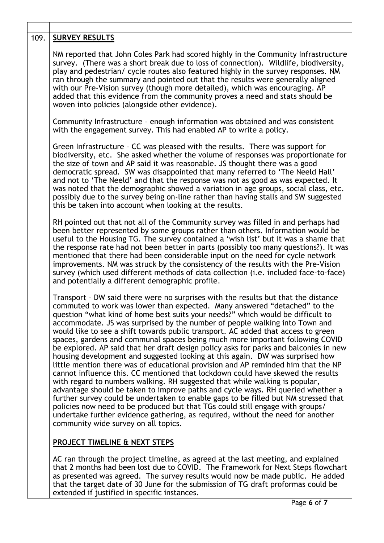| 109. | <b>SURVEY RESULTS</b>                                                                                                                                                                                                                                                                                                                                                                                                                                                                                                                                                                                                                                                                                                                                                                                                                                                                                                                                                                                                                                                                                                                                                                                                                                                                                                          |
|------|--------------------------------------------------------------------------------------------------------------------------------------------------------------------------------------------------------------------------------------------------------------------------------------------------------------------------------------------------------------------------------------------------------------------------------------------------------------------------------------------------------------------------------------------------------------------------------------------------------------------------------------------------------------------------------------------------------------------------------------------------------------------------------------------------------------------------------------------------------------------------------------------------------------------------------------------------------------------------------------------------------------------------------------------------------------------------------------------------------------------------------------------------------------------------------------------------------------------------------------------------------------------------------------------------------------------------------|
|      | NM reported that John Coles Park had scored highly in the Community Infrastructure<br>survey. (There was a short break due to loss of connection). Wildlife, biodiversity,<br>play and pedestrian/ cycle routes also featured highly in the survey responses. NM<br>ran through the summary and pointed out that the results were generally aligned<br>with our Pre-Vision survey (though more detailed), which was encouraging. AP<br>added that this evidence from the community proves a need and stats should be<br>woven into policies (alongside other evidence).                                                                                                                                                                                                                                                                                                                                                                                                                                                                                                                                                                                                                                                                                                                                                        |
|      | Community Infrastructure - enough information was obtained and was consistent<br>with the engagement survey. This had enabled AP to write a policy.                                                                                                                                                                                                                                                                                                                                                                                                                                                                                                                                                                                                                                                                                                                                                                                                                                                                                                                                                                                                                                                                                                                                                                            |
|      | Green Infrastructure - CC was pleased with the results. There was support for<br>biodiversity, etc. She asked whether the volume of responses was proportionate for<br>the size of town and AP said it was reasonable. JS thought there was a good<br>democratic spread. SW was disappointed that many referred to 'The Neeld Hall'<br>and not to 'The Neeld' and that the response was not as good as was expected. It<br>was noted that the demographic showed a variation in age groups, social class, etc.<br>possibly due to the survey being on-line rather than having stalls and SW suggested<br>this be taken into account when looking at the results.                                                                                                                                                                                                                                                                                                                                                                                                                                                                                                                                                                                                                                                               |
|      | RH pointed out that not all of the Community survey was filled in and perhaps had<br>been better represented by some groups rather than others. Information would be<br>useful to the Housing TG. The survey contained a 'wish list' but it was a shame that<br>the response rate had not been better in parts (possibly too many questions?). It was<br>mentioned that there had been considerable input on the need for cycle network<br>improvements. NM was struck by the consistency of the results with the Pre-Vision<br>survey (which used different methods of data collection (i.e. included face-to-face)<br>and potentially a different demographic profile.                                                                                                                                                                                                                                                                                                                                                                                                                                                                                                                                                                                                                                                       |
|      | Transport - DW said there were no surprises with the results but that the distance<br>commuted to work was lower than expected. Many answered "detached" to the<br>question "what kind of home best suits your needs?" which would be difficult to<br>accommodate. JS was surprised by the number of people walking into Town and<br>would like to see a shift towards public transport. AC added that access to green<br>spaces, gardens and communal spaces being much more important following COVID<br>be explored. AP said that her draft design policy asks for parks and balconies in new<br>housing development and suggested looking at this again. DW was surprised how<br>little mention there was of educational provision and AP reminded him that the NP<br>cannot influence this. CC mentioned that lockdown could have skewed the results<br>with regard to numbers walking. RH suggested that while walking is popular,<br>advantage should be taken to improve paths and cycle ways. RH queried whether a<br>further survey could be undertaken to enable gaps to be filled but NM stressed that<br>policies now need to be produced but that TGs could still engage with groups/<br>undertake further evidence gathering, as required, without the need for another<br>community wide survey on all topics. |
|      | <b>PROJECT TIMELINE &amp; NEXT STEPS</b>                                                                                                                                                                                                                                                                                                                                                                                                                                                                                                                                                                                                                                                                                                                                                                                                                                                                                                                                                                                                                                                                                                                                                                                                                                                                                       |
|      | AC ran through the project timeline, as agreed at the last meeting, and explained<br>that 2 months had been lost due to COVID. The Framework for Next Steps flowchart<br>as presented was agreed. The survey results would now be made public. He added<br>that the target date of 30 June for the submission of TG draft proformas could be<br>extended if justified in specific instances.                                                                                                                                                                                                                                                                                                                                                                                                                                                                                                                                                                                                                                                                                                                                                                                                                                                                                                                                   |